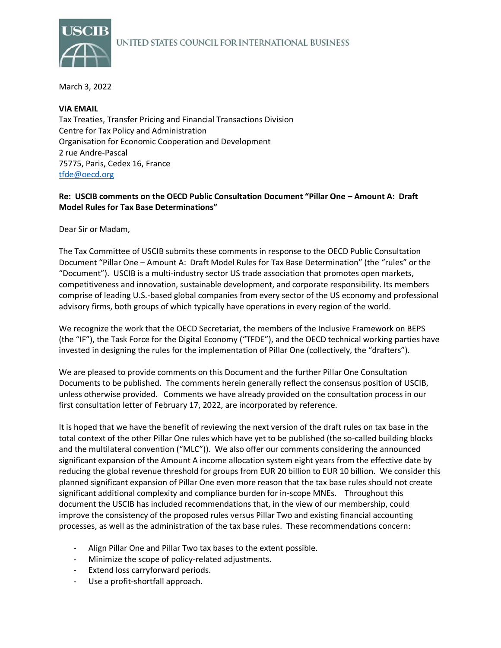

March 3, 2022

## **VIA EMAIL**

Tax Treaties, Transfer Pricing and Financial Transactions Division Centre for Tax Policy and Administration Organisation for Economic Cooperation and Development 2 rue Andre-Pascal 75775, Paris, Cedex 16, France [tfde@oecd.org](mailto:tfde@oecd.org)

# **Re: USCIB comments on the OECD Public Consultation Document "Pillar One – Amount A: Draft Model Rules for Tax Base Determinations"**

Dear Sir or Madam,

The Tax Committee of USCIB submits these comments in response to the OECD Public Consultation Document "Pillar One – Amount A: Draft Model Rules for Tax Base Determination" (the "rules" or the "Document"). USCIB is a multi-industry sector US trade association that promotes open markets, competitiveness and innovation, sustainable development, and corporate responsibility. Its members comprise of leading U.S.-based global companies from every sector of the US economy and professional advisory firms, both groups of which typically have operations in every region of the world.

We recognize the work that the OECD Secretariat, the members of the Inclusive Framework on BEPS (the "IF"), the Task Force for the Digital Economy ("TFDE"), and the OECD technical working parties have invested in designing the rules for the implementation of Pillar One (collectively, the "drafters").

We are pleased to provide comments on this Document and the further Pillar One Consultation Documents to be published. The comments herein generally reflect the consensus position of USCIB, unless otherwise provided. Comments we have already provided on the consultation process in our first consultation letter of February 17, 2022, are incorporated by reference.

It is hoped that we have the benefit of reviewing the next version of the draft rules on tax base in the total context of the other Pillar One rules which have yet to be published (the so-called building blocks and the multilateral convention ("MLC")). We also offer our comments considering the announced significant expansion of the Amount A income allocation system eight years from the effective date by reducing the global revenue threshold for groups from EUR 20 billion to EUR 10 billion. We consider this planned significant expansion of Pillar One even more reason that the tax base rules should not create significant additional complexity and compliance burden for in-scope MNEs. Throughout this document the USCIB has included recommendations that, in the view of our membership, could improve the consistency of the proposed rules versus Pillar Two and existing financial accounting processes, as well as the administration of the tax base rules. These recommendations concern:

- Align Pillar One and Pillar Two tax bases to the extent possible.
- Minimize the scope of policy-related adjustments.
- Extend loss carryforward periods.
- Use a profit-shortfall approach.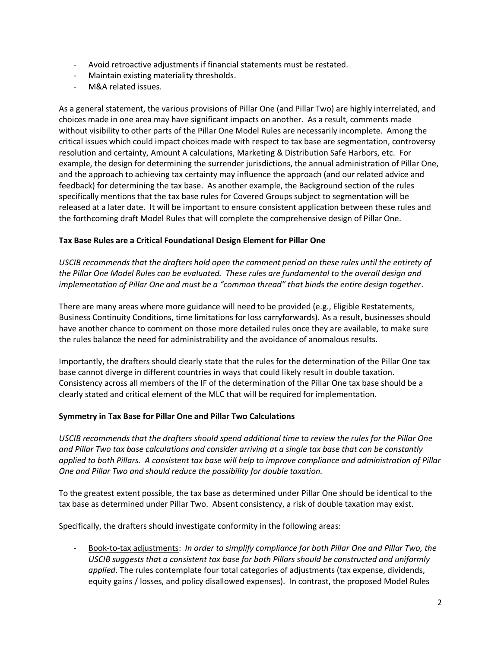- Avoid retroactive adjustments if financial statements must be restated.
- Maintain existing materiality thresholds.
- M&A related issues.

As a general statement, the various provisions of Pillar One (and Pillar Two) are highly interrelated, and choices made in one area may have significant impacts on another. As a result, comments made without visibility to other parts of the Pillar One Model Rules are necessarily incomplete. Among the critical issues which could impact choices made with respect to tax base are segmentation, controversy resolution and certainty, Amount A calculations, Marketing & Distribution Safe Harbors, etc. For example, the design for determining the surrender jurisdictions, the annual administration of Pillar One, and the approach to achieving tax certainty may influence the approach (and our related advice and feedback) for determining the tax base. As another example, the Background section of the rules specifically mentions that the tax base rules for Covered Groups subject to segmentation will be released at a later date. It will be important to ensure consistent application between these rules and the forthcoming draft Model Rules that will complete the comprehensive design of Pillar One.

## **Tax Base Rules are a Critical Foundational Design Element for Pillar One**

*USCIB recommends that the drafters hold open the comment period on these rules until the entirety of the Pillar One Model Rules can be evaluated. These rules are fundamental to the overall design and implementation of Pillar One and must be a "common thread" that binds the entire design together*.

There are many areas where more guidance will need to be provided (e.g., Eligible Restatements, Business Continuity Conditions, time limitations for loss carryforwards). As a result, businesses should have another chance to comment on those more detailed rules once they are available, to make sure the rules balance the need for administrability and the avoidance of anomalous results.

Importantly, the drafters should clearly state that the rules for the determination of the Pillar One tax base cannot diverge in different countries in ways that could likely result in double taxation. Consistency across all members of the IF of the determination of the Pillar One tax base should be a clearly stated and critical element of the MLC that will be required for implementation.

#### **Symmetry in Tax Base for Pillar One and Pillar Two Calculations**

*USCIB recommends that the drafters should spend additional time to review the rules for the Pillar One and Pillar Two tax base calculations and consider arriving at a single tax base that can be constantly applied to both Pillars. A consistent tax base will help to improve compliance and administration of Pillar One and Pillar Two and should reduce the possibility for double taxation.* 

To the greatest extent possible, the tax base as determined under Pillar One should be identical to the tax base as determined under Pillar Two. Absent consistency, a risk of double taxation may exist.

Specifically, the drafters should investigate conformity in the following areas:

- Book-to-tax adjustments: *In order to simplify compliance for both Pillar One and Pillar Two, the USCIB suggests that a consistent tax base for both Pillars should be constructed and uniformly applied*. The rules contemplate four total categories of adjustments (tax expense, dividends, equity gains / losses, and policy disallowed expenses). In contrast, the proposed Model Rules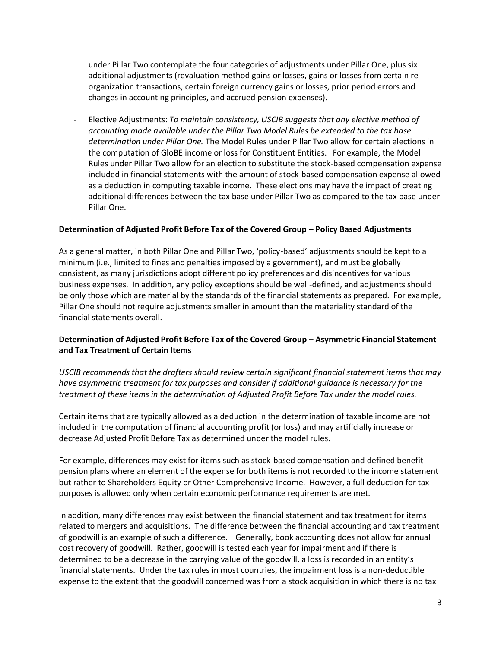under Pillar Two contemplate the four categories of adjustments under Pillar One, plus six additional adjustments (revaluation method gains or losses, gains or losses from certain reorganization transactions, certain foreign currency gains or losses, prior period errors and changes in accounting principles, and accrued pension expenses).

- Elective Adjustments: *To maintain consistency, USCIB suggests that any elective method of accounting made available under the Pillar Two Model Rules be extended to the tax base determination under Pillar One.* The Model Rules under Pillar Two allow for certain elections in the computation of GloBE income or loss for Constituent Entities. For example, the Model Rules under Pillar Two allow for an election to substitute the stock-based compensation expense included in financial statements with the amount of stock-based compensation expense allowed as a deduction in computing taxable income. These elections may have the impact of creating additional differences between the tax base under Pillar Two as compared to the tax base under Pillar One.

## **Determination of Adjusted Profit Before Tax of the Covered Group – Policy Based Adjustments**

As a general matter, in both Pillar One and Pillar Two, 'policy-based' adjustments should be kept to a minimum (i.e., limited to fines and penalties imposed by a government), and must be globally consistent, as many jurisdictions adopt different policy preferences and disincentives for various business expenses. In addition, any policy exceptions should be well-defined, and adjustments should be only those which are material by the standards of the financial statements as prepared. For example, Pillar One should not require adjustments smaller in amount than the materiality standard of the financial statements overall.

# **Determination of Adjusted Profit Before Tax of the Covered Group – Asymmetric Financial Statement and Tax Treatment of Certain Items**

*USCIB recommends that the drafters should review certain significant financial statement items that may have asymmetric treatment for tax purposes and consider if additional guidance is necessary for the treatment of these items in the determination of Adjusted Profit Before Tax under the model rules.* 

Certain items that are typically allowed as a deduction in the determination of taxable income are not included in the computation of financial accounting profit (or loss) and may artificially increase or decrease Adjusted Profit Before Tax as determined under the model rules.

For example, differences may exist for items such as stock-based compensation and defined benefit pension plans where an element of the expense for both items is not recorded to the income statement but rather to Shareholders Equity or Other Comprehensive Income. However, a full deduction for tax purposes is allowed only when certain economic performance requirements are met.

In addition, many differences may exist between the financial statement and tax treatment for items related to mergers and acquisitions. The difference between the financial accounting and tax treatment of goodwill is an example of such a difference. Generally, book accounting does not allow for annual cost recovery of goodwill. Rather, goodwill is tested each year for impairment and if there is determined to be a decrease in the carrying value of the goodwill, a loss is recorded in an entity's financial statements. Under the tax rules in most countries, the impairment loss is a non-deductible expense to the extent that the goodwill concerned was from a stock acquisition in which there is no tax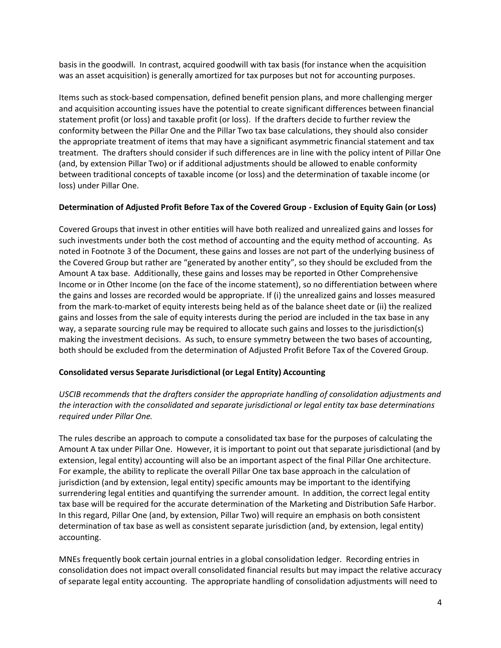basis in the goodwill. In contrast, acquired goodwill with tax basis (for instance when the acquisition was an asset acquisition) is generally amortized for tax purposes but not for accounting purposes.

Items such as stock-based compensation, defined benefit pension plans, and more challenging merger and acquisition accounting issues have the potential to create significant differences between financial statement profit (or loss) and taxable profit (or loss). If the drafters decide to further review the conformity between the Pillar One and the Pillar Two tax base calculations, they should also consider the appropriate treatment of items that may have a significant asymmetric financial statement and tax treatment. The drafters should consider if such differences are in line with the policy intent of Pillar One (and, by extension Pillar Two) or if additional adjustments should be allowed to enable conformity between traditional concepts of taxable income (or loss) and the determination of taxable income (or loss) under Pillar One.

## **Determination of Adjusted Profit Before Tax of the Covered Group - Exclusion of Equity Gain (or Loss)**

Covered Groups that invest in other entities will have both realized and unrealized gains and losses for such investments under both the cost method of accounting and the equity method of accounting. As noted in Footnote 3 of the Document, these gains and losses are not part of the underlying business of the Covered Group but rather are "generated by another entity", so they should be excluded from the Amount A tax base. Additionally, these gains and losses may be reported in Other Comprehensive Income or in Other Income (on the face of the income statement), so no differentiation between where the gains and losses are recorded would be appropriate. If (i) the unrealized gains and losses measured from the mark-to-market of equity interests being held as of the balance sheet date or (ii) the realized gains and losses from the sale of equity interests during the period are included in the tax base in any way, a separate sourcing rule may be required to allocate such gains and losses to the jurisdiction(s) making the investment decisions. As such, to ensure symmetry between the two bases of accounting, both should be excluded from the determination of Adjusted Profit Before Tax of the Covered Group.

#### **Consolidated versus Separate Jurisdictional (or Legal Entity) Accounting**

*USCIB recommends that the drafters consider the appropriate handling of consolidation adjustments and the interaction with the consolidated and separate jurisdictional or legal entity tax base determinations required under Pillar One.* 

The rules describe an approach to compute a consolidated tax base for the purposes of calculating the Amount A tax under Pillar One. However, it is important to point out that separate jurisdictional (and by extension, legal entity) accounting will also be an important aspect of the final Pillar One architecture. For example, the ability to replicate the overall Pillar One tax base approach in the calculation of jurisdiction (and by extension, legal entity) specific amounts may be important to the identifying surrendering legal entities and quantifying the surrender amount. In addition, the correct legal entity tax base will be required for the accurate determination of the Marketing and Distribution Safe Harbor. In this regard, Pillar One (and, by extension, Pillar Two) will require an emphasis on both consistent determination of tax base as well as consistent separate jurisdiction (and, by extension, legal entity) accounting.

MNEs frequently book certain journal entries in a global consolidation ledger. Recording entries in consolidation does not impact overall consolidated financial results but may impact the relative accuracy of separate legal entity accounting. The appropriate handling of consolidation adjustments will need to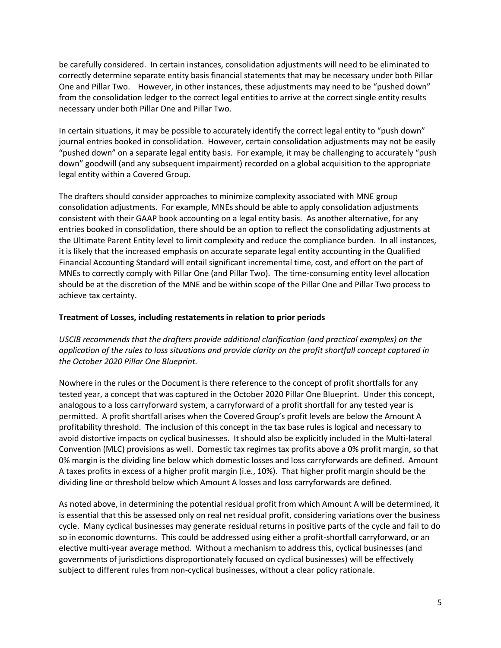be carefully considered. In certain instances, consolidation adjustments will need to be eliminated to correctly determine separate entity basis financial statements that may be necessary under both Pillar One and Pillar Two. However, in other instances, these adjustments may need to be "pushed down" from the consolidation ledger to the correct legal entities to arrive at the correct single entity results necessary under both Pillar One and Pillar Two.

In certain situations, it may be possible to accurately identify the correct legal entity to "push down" journal entries booked in consolidation. However, certain consolidation adjustments may not be easily "pushed down" on a separate legal entity basis. For example, it may be challenging to accurately "push down" goodwill (and any subsequent impairment) recorded on a global acquisition to the appropriate legal entity within a Covered Group.

The drafters should consider approaches to minimize complexity associated with MNE group consolidation adjustments. For example, MNEs should be able to apply consolidation adjustments consistent with their GAAP book accounting on a legal entity basis. As another alternative, for any entries booked in consolidation, there should be an option to reflect the consolidating adjustments at the Ultimate Parent Entity level to limit complexity and reduce the compliance burden. In all instances, it is likely that the increased emphasis on accurate separate legal entity accounting in the Qualified Financial Accounting Standard will entail significant incremental time, cost, and effort on the part of MNEs to correctly comply with Pillar One (and Pillar Two). The time-consuming entity level allocation should be at the discretion of the MNE and be within scope of the Pillar One and Pillar Two process to achieve tax certainty.

#### **Treatment of Losses, including restatements in relation to prior periods**

*USCIB recommends that the drafters provide additional clarification (and practical examples) on the application of the rules to loss situations and provide clarity on the profit shortfall concept captured in the October 2020 Pillar One Blueprint.* 

Nowhere in the rules or the Document is there reference to the concept of profit shortfalls for any tested year, a concept that was captured in the October 2020 Pillar One Blueprint. Under this concept, analogous to a loss carryforward system, a carryforward of a profit shortfall for any tested year is permitted. A profit shortfall arises when the Covered Group's profit levels are below the Amount A profitability threshold. The inclusion of this concept in the tax base rules is logical and necessary to avoid distortive impacts on cyclical businesses. It should also be explicitly included in the Multi-lateral Convention (MLC) provisions as well. Domestic tax regimes tax profits above a 0% profit margin, so that 0% margin is the dividing line below which domestic losses and loss carryforwards are defined. Amount A taxes profits in excess of a higher profit margin (i.e., 10%). That higher profit margin should be the dividing line or threshold below which Amount A losses and loss carryforwards are defined.

As noted above, in determining the potential residual profit from which Amount A will be determined, it is essential that this be assessed only on real net residual profit, considering variations over the business cycle. Many cyclical businesses may generate residual returns in positive parts of the cycle and fail to do so in economic downturns. This could be addressed using either a profit-shortfall carryforward, or an elective multi-year average method. Without a mechanism to address this, cyclical businesses (and governments of jurisdictions disproportionately focused on cyclical businesses) will be effectively subject to different rules from non-cyclical businesses, without a clear policy rationale.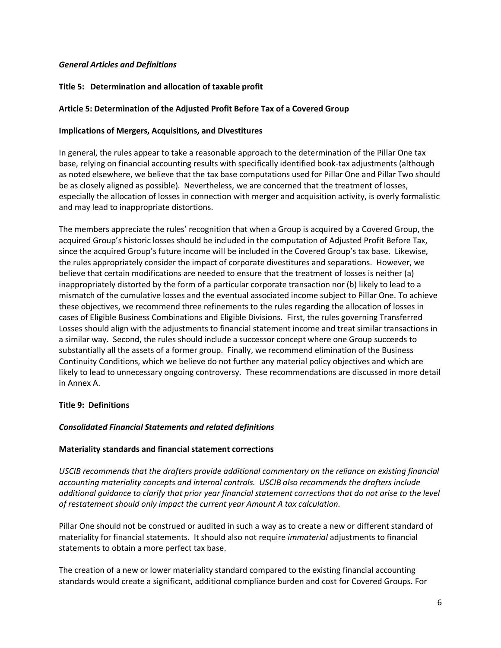## *General Articles and Definitions*

## **Title 5: Determination and allocation of taxable profit**

#### **Article 5: Determination of the Adjusted Profit Before Tax of a Covered Group**

#### **Implications of Mergers, Acquisitions, and Divestitures**

In general, the rules appear to take a reasonable approach to the determination of the Pillar One tax base, relying on financial accounting results with specifically identified book-tax adjustments (although as noted elsewhere, we believe that the tax base computations used for Pillar One and Pillar Two should be as closely aligned as possible). Nevertheless, we are concerned that the treatment of losses, especially the allocation of losses in connection with merger and acquisition activity, is overly formalistic and may lead to inappropriate distortions.

The members appreciate the rules' recognition that when a Group is acquired by a Covered Group, the acquired Group's historic losses should be included in the computation of Adjusted Profit Before Tax, since the acquired Group's future income will be included in the Covered Group's tax base. Likewise, the rules appropriately consider the impact of corporate divestitures and separations. However, we believe that certain modifications are needed to ensure that the treatment of losses is neither (a) inappropriately distorted by the form of a particular corporate transaction nor (b) likely to lead to a mismatch of the cumulative losses and the eventual associated income subject to Pillar One. To achieve these objectives, we recommend three refinements to the rules regarding the allocation of losses in cases of Eligible Business Combinations and Eligible Divisions. First, the rules governing Transferred Losses should align with the adjustments to financial statement income and treat similar transactions in a similar way. Second, the rules should include a successor concept where one Group succeeds to substantially all the assets of a former group. Finally, we recommend elimination of the Business Continuity Conditions, which we believe do not further any material policy objectives and which are likely to lead to unnecessary ongoing controversy. These recommendations are discussed in more detail in Annex A.

#### **Title 9: Definitions**

#### *Consolidated Financial Statements and related definitions*

#### **Materiality standards and financial statement corrections**

*USCIB recommends that the drafters provide additional commentary on the reliance on existing financial accounting materiality concepts and internal controls. USCIB also recommends the drafters include additional guidance to clarify that prior year financial statement corrections that do not arise to the level of restatement should only impact the current year Amount A tax calculation.* 

Pillar One should not be construed or audited in such a way as to create a new or different standard of materiality for financial statements. It should also not require *immaterial* adjustments to financial statements to obtain a more perfect tax base.

The creation of a new or lower materiality standard compared to the existing financial accounting standards would create a significant, additional compliance burden and cost for Covered Groups. For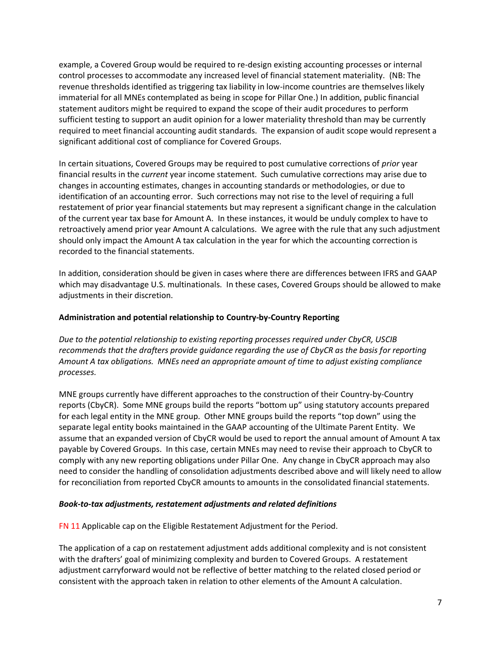example, a Covered Group would be required to re-design existing accounting processes or internal control processes to accommodate any increased level of financial statement materiality. (NB: The revenue thresholds identified as triggering tax liability in low-income countries are themselves likely immaterial for all MNEs contemplated as being in scope for Pillar One.) In addition, public financial statement auditors might be required to expand the scope of their audit procedures to perform sufficient testing to support an audit opinion for a lower materiality threshold than may be currently required to meet financial accounting audit standards. The expansion of audit scope would represent a significant additional cost of compliance for Covered Groups.

In certain situations, Covered Groups may be required to post cumulative corrections of *prior* year financial results in the *current* year income statement. Such cumulative corrections may arise due to changes in accounting estimates, changes in accounting standards or methodologies, or due to identification of an accounting error. Such corrections may not rise to the level of requiring a full restatement of prior year financial statements but may represent a significant change in the calculation of the current year tax base for Amount A. In these instances, it would be unduly complex to have to retroactively amend prior year Amount A calculations. We agree with the rule that any such adjustment should only impact the Amount A tax calculation in the year for which the accounting correction is recorded to the financial statements.

In addition, consideration should be given in cases where there are differences between IFRS and GAAP which may disadvantage U.S. multinationals. In these cases, Covered Groups should be allowed to make adjustments in their discretion.

#### **Administration and potential relationship to Country-by-Country Reporting**

*Due to the potential relationship to existing reporting processes required under CbyCR, USCIB recommends that the drafters provide guidance regarding the use of CbyCR as the basis for reporting Amount A tax obligations. MNEs need an appropriate amount of time to adjust existing compliance processes.* 

MNE groups currently have different approaches to the construction of their Country-by-Country reports (CbyCR). Some MNE groups build the reports "bottom up" using statutory accounts prepared for each legal entity in the MNE group. Other MNE groups build the reports "top down" using the separate legal entity books maintained in the GAAP accounting of the Ultimate Parent Entity. We assume that an expanded version of CbyCR would be used to report the annual amount of Amount A tax payable by Covered Groups. In this case, certain MNEs may need to revise their approach to CbyCR to comply with any new reporting obligations under Pillar One. Any change in CbyCR approach may also need to consider the handling of consolidation adjustments described above and will likely need to allow for reconciliation from reported CbyCR amounts to amounts in the consolidated financial statements.

#### *Book-to-tax adjustments, restatement adjustments and related definitions*

FN 11 Applicable cap on the Eligible Restatement Adjustment for the Period.

The application of a cap on restatement adjustment adds additional complexity and is not consistent with the drafters' goal of minimizing complexity and burden to Covered Groups. A restatement adjustment carryforward would not be reflective of better matching to the related closed period or consistent with the approach taken in relation to other elements of the Amount A calculation.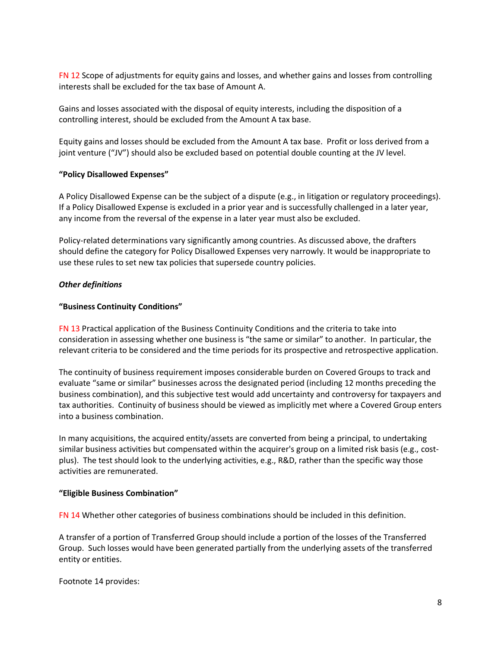FN 12 Scope of adjustments for equity gains and losses, and whether gains and losses from controlling interests shall be excluded for the tax base of Amount A.

Gains and losses associated with the disposal of equity interests, including the disposition of a controlling interest, should be excluded from the Amount A tax base.

Equity gains and losses should be excluded from the Amount A tax base. Profit or loss derived from a joint venture ("JV") should also be excluded based on potential double counting at the JV level.

#### **"Policy Disallowed Expenses"**

A Policy Disallowed Expense can be the subject of a dispute (e.g., in litigation or regulatory proceedings). If a Policy Disallowed Expense is excluded in a prior year and is successfully challenged in a later year, any income from the reversal of the expense in a later year must also be excluded.

Policy-related determinations vary significantly among countries. As discussed above, the drafters should define the category for Policy Disallowed Expenses very narrowly. It would be inappropriate to use these rules to set new tax policies that supersede country policies.

## *Other definitions*

## **"Business Continuity Conditions"**

FN 13 Practical application of the Business Continuity Conditions and the criteria to take into consideration in assessing whether one business is "the same or similar" to another. In particular, the relevant criteria to be considered and the time periods for its prospective and retrospective application.

The continuity of business requirement imposes considerable burden on Covered Groups to track and evaluate "same or similar" businesses across the designated period (including 12 months preceding the business combination), and this subjective test would add uncertainty and controversy for taxpayers and tax authorities. Continuity of business should be viewed as implicitly met where a Covered Group enters into a business combination.

In many acquisitions, the acquired entity/assets are converted from being a principal, to undertaking similar business activities but compensated within the acquirer's group on a limited risk basis (e.g., costplus). The test should look to the underlying activities, e.g., R&D, rather than the specific way those activities are remunerated.

#### **"Eligible Business Combination"**

FN 14 Whether other categories of business combinations should be included in this definition.

A transfer of a portion of Transferred Group should include a portion of the losses of the Transferred Group. Such losses would have been generated partially from the underlying assets of the transferred entity or entities.

Footnote 14 provides: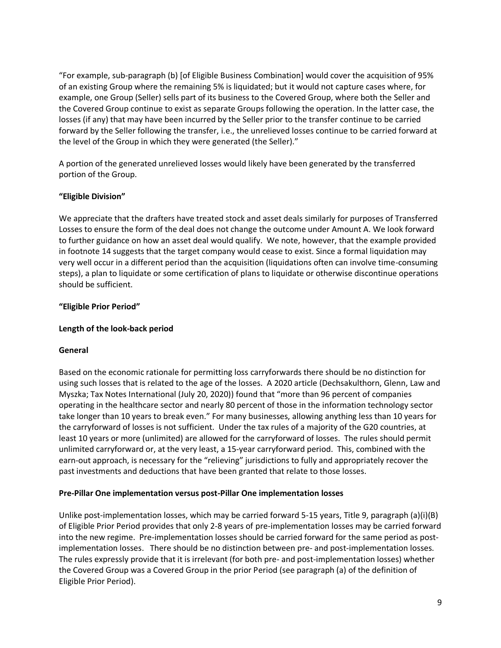"For example, sub-paragraph (b) [of Eligible Business Combination] would cover the acquisition of 95% of an existing Group where the remaining 5% is liquidated; but it would not capture cases where, for example, one Group (Seller) sells part of its business to the Covered Group, where both the Seller and the Covered Group continue to exist as separate Groups following the operation. In the latter case, the losses (if any) that may have been incurred by the Seller prior to the transfer continue to be carried forward by the Seller following the transfer, i.e., the unrelieved losses continue to be carried forward at the level of the Group in which they were generated (the Seller)."

A portion of the generated unrelieved losses would likely have been generated by the transferred portion of the Group.

## **"Eligible Division"**

We appreciate that the drafters have treated stock and asset deals similarly for purposes of Transferred Losses to ensure the form of the deal does not change the outcome under Amount A. We look forward to further guidance on how an asset deal would qualify. We note, however, that the example provided in footnote 14 suggests that the target company would cease to exist. Since a formal liquidation may very well occur in a different period than the acquisition (liquidations often can involve time-consuming steps), a plan to liquidate or some certification of plans to liquidate or otherwise discontinue operations should be sufficient.

## **"Eligible Prior Period"**

## **Length of the look-back period**

#### **General**

Based on the economic rationale for permitting loss carryforwards there should be no distinction for using such losses that is related to the age of the losses. A 2020 article (Dechsakulthorn, Glenn, Law and Myszka; Tax Notes International (July 20, 2020)) found that "more than 96 percent of companies operating in the healthcare sector and nearly 80 percent of those in the information technology sector take longer than 10 years to break even." For many businesses, allowing anything less than 10 years for the carryforward of losses is not sufficient. Under the tax rules of a majority of the G20 countries, at least 10 years or more (unlimited) are allowed for the carryforward of losses. The rules should permit unlimited carryforward or, at the very least, a 15-year carryforward period. This, combined with the earn-out approach, is necessary for the "relieving" jurisdictions to fully and appropriately recover the past investments and deductions that have been granted that relate to those losses.

#### **Pre-Pillar One implementation versus post-Pillar One implementation losses**

Unlike post-implementation losses, which may be carried forward 5-15 years, Title 9, paragraph (a)(i)(B) of Eligible Prior Period provides that only 2-8 years of pre-implementation losses may be carried forward into the new regime. Pre-implementation losses should be carried forward for the same period as postimplementation losses. There should be no distinction between pre- and post-implementation losses. The rules expressly provide that it is irrelevant (for both pre- and post-implementation losses) whether the Covered Group was a Covered Group in the prior Period (see paragraph (a) of the definition of Eligible Prior Period).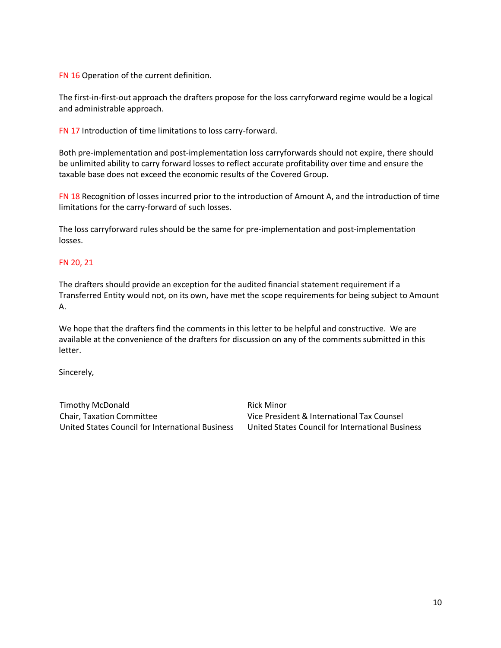FN 16 Operation of the current definition.

The first-in-first-out approach the drafters propose for the loss carryforward regime would be a logical and administrable approach.

FN 17 Introduction of time limitations to loss carry-forward.

Both pre-implementation and post-implementation loss carryforwards should not expire, there should be unlimited ability to carry forward losses to reflect accurate profitability over time and ensure the taxable base does not exceed the economic results of the Covered Group.

FN 18 Recognition of losses incurred prior to the introduction of Amount A, and the introduction of time limitations for the carry-forward of such losses.

The loss carryforward rules should be the same for pre-implementation and post-implementation losses.

#### FN 20, 21

The drafters should provide an exception for the audited financial statement requirement if a Transferred Entity would not, on its own, have met the scope requirements for being subject to Amount A.

We hope that the drafters find the comments in this letter to be helpful and constructive. We are available at the convenience of the drafters for discussion on any of the comments submitted in this letter.

Sincerely,

Timothy McDonald Chair, Taxation Committee United States Council for International Business Rick Minor Vice President & International Tax Counsel United States Council for International Business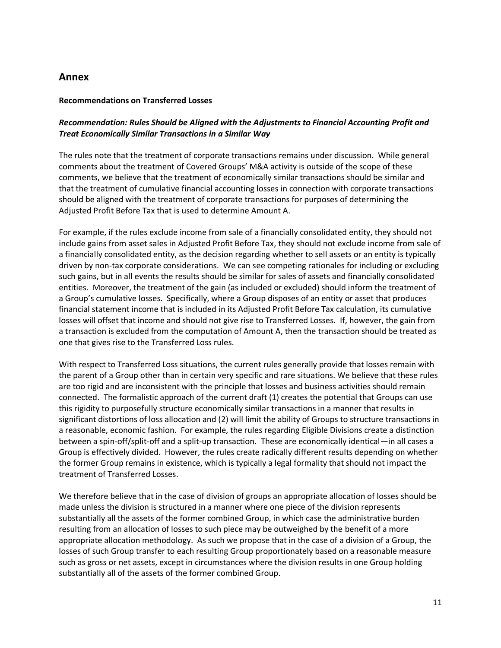# **Annex**

#### **Recommendations on Transferred Losses**

# *Recommendation: Rules Should be Aligned with the Adjustments to Financial Accounting Profit and Treat Economically Similar Transactions in a Similar Way*

The rules note that the treatment of corporate transactions remains under discussion. While general comments about the treatment of Covered Groups' M&A activity is outside of the scope of these comments, we believe that the treatment of economically similar transactions should be similar and that the treatment of cumulative financial accounting losses in connection with corporate transactions should be aligned with the treatment of corporate transactions for purposes of determining the Adjusted Profit Before Tax that is used to determine Amount A.

For example, if the rules exclude income from sale of a financially consolidated entity, they should not include gains from asset sales in Adjusted Profit Before Tax, they should not exclude income from sale of a financially consolidated entity, as the decision regarding whether to sell assets or an entity is typically driven by non-tax corporate considerations. We can see competing rationales for including or excluding such gains, but in all events the results should be similar for sales of assets and financially consolidated entities. Moreover, the treatment of the gain (as included or excluded) should inform the treatment of a Group's cumulative losses. Specifically, where a Group disposes of an entity or asset that produces financial statement income that is included in its Adjusted Profit Before Tax calculation, its cumulative losses will offset that income and should not give rise to Transferred Losses. If, however, the gain from a transaction is excluded from the computation of Amount A, then the transaction should be treated as one that gives rise to the Transferred Loss rules.

With respect to Transferred Loss situations, the current rules generally provide that losses remain with the parent of a Group other than in certain very specific and rare situations. We believe that these rules are too rigid and are inconsistent with the principle that losses and business activities should remain connected. The formalistic approach of the current draft (1) creates the potential that Groups can use this rigidity to purposefully structure economically similar transactions in a manner that results in significant distortions of loss allocation and (2) will limit the ability of Groups to structure transactions in a reasonable, economic fashion. For example, the rules regarding Eligible Divisions create a distinction between a spin-off/split-off and a split-up transaction. These are economically identical—in all cases a Group is effectively divided. However, the rules create radically different results depending on whether the former Group remains in existence, which is typically a legal formality that should not impact the treatment of Transferred Losses.

We therefore believe that in the case of division of groups an appropriate allocation of losses should be made unless the division is structured in a manner where one piece of the division represents substantially all the assets of the former combined Group, in which case the administrative burden resulting from an allocation of losses to such piece may be outweighed by the benefit of a more appropriate allocation methodology. As such we propose that in the case of a division of a Group, the losses of such Group transfer to each resulting Group proportionately based on a reasonable measure such as gross or net assets, except in circumstances where the division results in one Group holding substantially all of the assets of the former combined Group.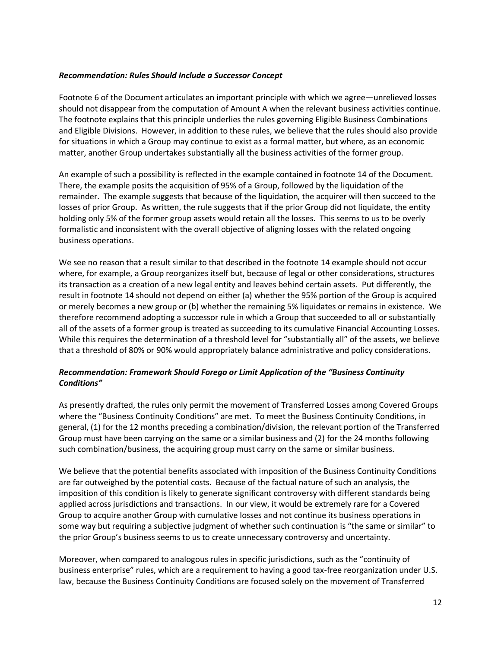#### *Recommendation: Rules Should Include a Successor Concept*

Footnote 6 of the Document articulates an important principle with which we agree—unrelieved losses should not disappear from the computation of Amount A when the relevant business activities continue. The footnote explains that this principle underlies the rules governing Eligible Business Combinations and Eligible Divisions. However, in addition to these rules, we believe that the rules should also provide for situations in which a Group may continue to exist as a formal matter, but where, as an economic matter, another Group undertakes substantially all the business activities of the former group.

An example of such a possibility is reflected in the example contained in footnote 14 of the Document. There, the example posits the acquisition of 95% of a Group, followed by the liquidation of the remainder. The example suggests that because of the liquidation, the acquirer will then succeed to the losses of prior Group. As written, the rule suggests that if the prior Group did not liquidate, the entity holding only 5% of the former group assets would retain all the losses. This seems to us to be overly formalistic and inconsistent with the overall objective of aligning losses with the related ongoing business operations.

We see no reason that a result similar to that described in the footnote 14 example should not occur where, for example, a Group reorganizes itself but, because of legal or other considerations, structures its transaction as a creation of a new legal entity and leaves behind certain assets. Put differently, the result in footnote 14 should not depend on either (a) whether the 95% portion of the Group is acquired or merely becomes a new group or (b) whether the remaining 5% liquidates or remains in existence. We therefore recommend adopting a successor rule in which a Group that succeeded to all or substantially all of the assets of a former group is treated as succeeding to its cumulative Financial Accounting Losses. While this requires the determination of a threshold level for "substantially all" of the assets, we believe that a threshold of 80% or 90% would appropriately balance administrative and policy considerations.

## *Recommendation: Framework Should Forego or Limit Application of the "Business Continuity Conditions"*

As presently drafted, the rules only permit the movement of Transferred Losses among Covered Groups where the "Business Continuity Conditions" are met. To meet the Business Continuity Conditions, in general, (1) for the 12 months preceding a combination/division, the relevant portion of the Transferred Group must have been carrying on the same or a similar business and (2) for the 24 months following such combination/business, the acquiring group must carry on the same or similar business.

We believe that the potential benefits associated with imposition of the Business Continuity Conditions are far outweighed by the potential costs. Because of the factual nature of such an analysis, the imposition of this condition is likely to generate significant controversy with different standards being applied across jurisdictions and transactions. In our view, it would be extremely rare for a Covered Group to acquire another Group with cumulative losses and not continue its business operations in some way but requiring a subjective judgment of whether such continuation is "the same or similar" to the prior Group's business seems to us to create unnecessary controversy and uncertainty.

Moreover, when compared to analogous rules in specific jurisdictions, such as the "continuity of business enterprise" rules, which are a requirement to having a good tax-free reorganization under U.S. law, because the Business Continuity Conditions are focused solely on the movement of Transferred